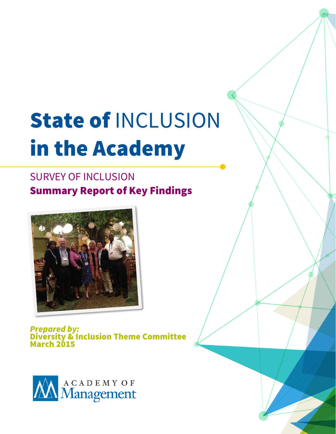# State of INCLUSION in the Academy

# SURVEY OF INCLUSION Summary Report of Key Findings



*Prepared by:* Diversity & Inclusion Theme Committee March 2015

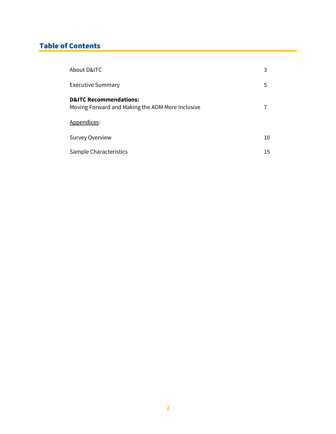# Table of Contents

| About D&ITC                                                                           | 3  |
|---------------------------------------------------------------------------------------|----|
| <b>Executive Summary</b>                                                              | 5  |
| <b>D&amp;ITC Recommendations:</b><br>Moving Forward and Making the AOM More Inclusive |    |
| Appendices:                                                                           |    |
| <b>Survey Overview</b>                                                                | 10 |
| Sample Characteristics                                                                | 15 |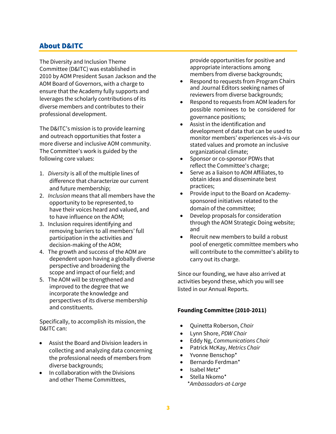## About D&ITC

The Diversity and Inclusion Theme Committee (D&ITC) was established in 2010 by AOM President Susan Jackson and the AOM Board of Governors, with a charge to ensure that the Academy fully supports and leverages the scholarly contributions of its diverse members and contributes to their professional development.

The D&ITC's mission is to provide learning and outreach opportunities that foster a more diverse and inclusive AOM community. The Committee's work is guided by the following core values:

- 1. *Diversity* is all of the multiple lines of difference that characterize our current and future membership;
- 2. *Inclusion* means that all members have the opportunity to be represented, to have their voices heard and valued, and to have influence on the AOM;
- 3. Inclusion requires identifying and removing barriers to all members' full participation in the activities and decision-making of the AOM;
- 4. The growth and success of the AOM are dependent upon having a globally diverse perspective and broadening the scope and impact of our field; and
- 5. The AOM will be strengthened and improved to the degree that we incorporate the knowledge and perspectives of its diverse membership and constituents.

Specifically, to accomplish its mission, the D&ITC can:

- Assist the Board and Division leaders in collecting and analyzing data concerning the professional needs of members from diverse backgrounds;
- In collaboration with the Divisions and other Theme Committees,

provide opportunities for positive and appropriate interactions among members from diverse backgrounds;

- Respond to requests from Program Chairs and Journal Editors seeking names of reviewers from diverse backgrounds;
- Respond to requests from AOM leaders for possible nominees to be considered for governance positions;
- Assist in the identification and development of data that can be used to monitor members' experiences vis-à-vis our stated values and promote an inclusive organizational climate;
- Sponsor or co-sponsor PDWs that reflect the Committee's charge;
- Serve as a liaison to AOM Affiliates, to obtain ideas and disseminate best practices;
- Provide input to the Board on Academysponsored initiatives related to the domain of the committee;
- Develop proposals for consideration through the AOM Strategic Doing website; and
- Recruit new members to build a robust pool of energetic committee members who will contribute to the committee's ability to carry out its charge.

Since our founding, we have also arrived at activities beyond these, which you will see listed in our Annual Reports.

#### **Founding Committee (2010-2011)**

- Quinetta Roberson, *Chair*
- Lynn Shore, *PDW Chair*
- Eddy Ng, *Communications Chair*
- Patrick McKay, *Metrics Chair*
- Yvonne Benschop\*
- Bernardo Ferdman\*
- Isabel Metz\*
- Stella Nkomo\* \**Ambassadors-at-Large*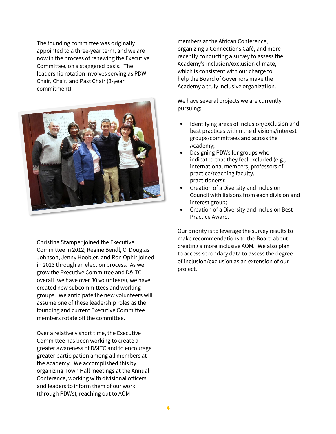The founding committee was originally appointed to a three-year term, and we are now in the process of renewing the Executive Committee, on a staggered basis. The leadership rotation involves serving as PDW Chair, Chair, and Past Chair (3-year commitment).



Christina Stamper joined the Executive Committee in 2012; Regine Bendl, C. Douglas Johnson, Jenny Hoobler, and Ron Ophir joined in 2013 through an election process. As we grow the Executive Committee and D&ITC overall (we have over 30 volunteers), we have created new subcommittees and working groups. We anticipate the new volunteers will assume one of these leadership roles as the founding and current Executive Committee members rotate off the committee.

Over a relatively short time, the Executive Committee has been working to create a greater awareness of D&ITC and to encourage greater participation among all members at the Academy. We accomplished this by organizing Town Hall meetings at the Annual Conference, working with divisional officers and leaders to inform them of our work (through PDWs), reaching out to AOM

members at the African Conference, organizing a Connections Café, and more recently conducting a survey to assess the Academy's inclusion/exclusion climate, which is consistent with our charge to help the Board of Governors make the Academy a truly inclusive organization.

We have several projects we are currently pursuing:

- Identifying areas of inclusion/exclusion and best practices within the divisions/interest groups/committees and across the Academy;
- Designing PDWs for groups who indicated that they feel excluded (e.g., international members, professors of practice/teaching faculty, practitioners);
- Creation of a Diversity and Inclusion Council with liaisons from each division and interest group;
- Creation of a Diversity and Inclusion Best Practice Award.

Our priority is to leverage the survey results to make recommendations to the Board about creating a more inclusive AOM. We also plan to access secondary data to assess the degree of inclusion/exclusion as an extension of our project.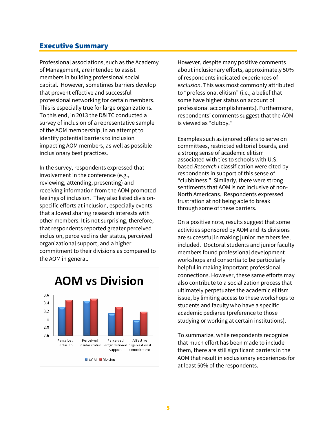### Executive Summary

Professional associations, such as the Academy of Management, are intended to assist members in building professional social capital. However, sometimes barriers develop that prevent effective and successful professional networking for certain members. This is especially true for large organizations. To this end, in 2013 the D&ITC conducted a survey of inclusion of a representative sample of the AOM membership, in an attempt to identify potential barriers to inclusion impacting AOM members, as well as possible inclusionary best practices.

In the survey, respondents expressed that involvement in the conference (e.g., reviewing, attending, presenting) and receiving information from the AOM promoted feelings of inclusion. They also listed divisionspecific efforts at inclusion, especially events that allowed sharing research interests with other members. It is not surprising, therefore, that respondents reported greater perceived inclusion, perceived insider status, perceived organizational support, and a higher commitment to their divisions as compared to the AOM in general.



However, despite many positive comments about inclusionary efforts, approximately 50% of respondents indicated experiences of *exclusion*. This was most commonly attributed to "professional elitism" (i.e., a belief that some have higher status on account of professional accomplishments). Furthermore, respondents' comments suggest that the AOM is viewed as "clubby."

Examples such as ignored offers to serve on committees, restricted editorial boards, and a strong sense of academic elitism associated with ties to schools with U.S. based *Research I* classification were cited by respondents in support of this sense of "clubbiness." Similarly, there were strong sentiments that AOM is not inclusive of non-North Americans. Respondents expressed frustration at not being able to break through some of these barriers.

On a positive note, results suggest that some activities sponsored by AOM and its divisions are successful in making junior members feel included. Doctoral students and junior faculty members found professional development workshops and consortia to be particularly helpful in making important professional connections. However, these same efforts may also contribute to a socialization process that ultimately perpetuates the academic elitism issue, by limiting access to these workshops to students and faculty who have a specific academic pedigree (preference to those studying or working at certain institutions).

To summarize, while respondents recognize that much effort has been made to include them, there are still significant barriers in the AOM that result in exclusionary experiences for at least 50% of the respondents.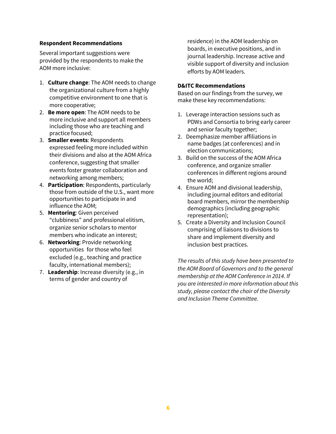#### **Respondent Recommendations**

Several important suggestions were provided by the respondents to make the AOM more inclusive:

- 1. **Culture change**: The AOM needs to change the organizational culture from a highly competitive environment to one that is more cooperative;
- 2. **Be more open**: The AOM needs to be more inclusive and support all members including those who are teaching and practice focused;
- 3. **Smaller events**: Respondents expressed feeling more included within their divisions and also at the AOM Africa conference, suggesting that smaller events foster greater collaboration and networking among members;
- 4. **Participation**: Respondents, particularly those from outside of the U.S., want more opportunities to participate in and influence the AOM;
- 5. **Mentoring**: Given perceived "clubbiness" and professional elitism, organize senior scholars to mentor members who indicate an interest;
- 6. **Networking**: Provide networking opportunities for those who feel excluded (e.g., teaching and practice faculty, international members);
- 7. **Leadership**: Increase diversity (e.g., in terms of gender and country of

residence) in the AOM leadership on boards, in executive positions, and in journal leadership. Increase active and visible support of diversity and inclusion efforts by AOM leaders.

#### **D&ITC Recommendations**

Based on our findings from the survey, we make these key recommendations:

- 1. Leverage interaction sessions such as PDWs and Consortia to bring early career and senior faculty together;
- 2. Deemphasize member affiliations in name badges (at conferences) and in election communications;
- 3. Build on the success of the AOM Africa conference, and organize smaller conferences in different regions around the world;
- 4. Ensure AOM and divisional leadership, including journal editors and editorial board members, mirror the membership demographics (including geographic representation);
- 5. Create a Diversity and Inclusion Council comprising of liaisons to divisions to share and implement diversity and inclusion best practices.

*The results of this study have been presented to the AOM Board of Governors and to the general membership at the AOM Conference in 2014. If you are interested in more information about this study, please contact the chair of the Diversity and Inclusion Theme Committee.*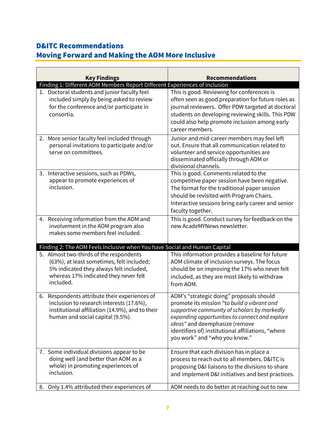## D&ITC Recommendations

# Moving Forward and Making the AOM More Inclusive

| <b>Key Findings</b> |                                                                                                                                                                                       | <b>Recommendations</b>                                                                                                                                                                                                                                                                                             |  |
|---------------------|---------------------------------------------------------------------------------------------------------------------------------------------------------------------------------------|--------------------------------------------------------------------------------------------------------------------------------------------------------------------------------------------------------------------------------------------------------------------------------------------------------------------|--|
|                     | Finding 1: Different AOM Members Report Different Experiences of Inclusion                                                                                                            |                                                                                                                                                                                                                                                                                                                    |  |
|                     | 1. Doctoral students and junior faculty feel<br>included simply by being asked to review<br>for the conference and/or participate in<br>consortia.                                    | This is good. Reviewing for conferences is<br>often seen as good preparation for future roles as<br>journal reviewers. Offer PDW targeted at doctoral<br>students on developing reviewing skills. This PDW<br>could also help promote inclusion among early<br>career members.                                     |  |
| 2.                  | More senior faculty feel included through<br>personal invitations to participate and/or<br>serve on committees.                                                                       | Junior and mid-career members may feel left<br>out. Ensure that all communication related to<br>volunteer and service opportunities are<br>disseminated officially through AOM or<br>divisional channels.                                                                                                          |  |
|                     | 3. Interactive sessions, such as PDWs,<br>appear to promote experiences of<br>inclusion.                                                                                              | This is good. Comments related to the<br>competitive paper session have been negative.<br>The format for the traditional paper session<br>should be revisited with Program Chairs.<br>Interactive sessions bring early career and senior<br>faculty together.                                                      |  |
|                     | 4. Receiving information from the AOM and<br>involvement in the AOM program also<br>makes some members feel included.                                                                 | This is good. Conduct survey for feedback on the<br>new AcadeMYNews newsletter.                                                                                                                                                                                                                                    |  |
|                     | Finding 2: The AOM Feels Inclusive when You have Social and Human Capital                                                                                                             |                                                                                                                                                                                                                                                                                                                    |  |
|                     | 5. Almost two-thirds of the respondents<br>(63%), at least sometimes, felt included;<br>5% indicated they always felt included,<br>whereas 17% indicated they never felt<br>included. | This information provides a baseline for future<br>AOM climate of inclusion surveys. The focus<br>should be on improving the 17% who never felt<br>included, as they are most likely to withdraw<br>from AOM.                                                                                                      |  |
|                     | 6. Respondents attribute their experiences of<br>inclusion to research interests (17.6%),<br>institutional affiliation (14.9%), and to their<br>human and social capital (9.5%).      | AOM's "strategic doing" proposals should<br>promote its mission "to build a vibrant and<br>supportive community of scholars by markedly<br>expanding opportunities to connect and explore<br>ideas" and deemphasize (remove<br>identifiers of) institutional affiliations, "where<br>you work" and "who you know." |  |
|                     | 7. Some individual divisions appear to be<br>doing well (and better than AOM as a<br>whole) in promoting experiences of<br>inclusion.                                                 | Ensure that each division has in place a<br>process to reach out to all members. D&ITC is<br>proposing D&I liaisons to the divisions to share<br>and implement D&I initiatives and best practices.                                                                                                                 |  |
|                     | 8. Only 1.4% attributed their experiences of                                                                                                                                          | AOM needs to do better at reaching out to new                                                                                                                                                                                                                                                                      |  |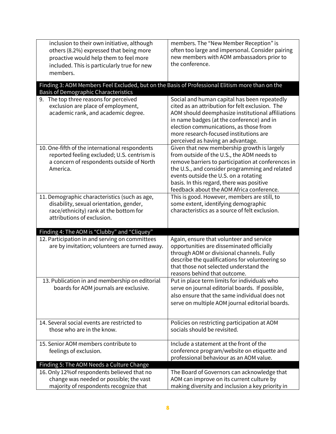| inclusion to their own initiative, although                                                                                                    | members. The "New Member Reception" is                                                           |
|------------------------------------------------------------------------------------------------------------------------------------------------|--------------------------------------------------------------------------------------------------|
| others (8.2%) expressed that being more                                                                                                        | often too large and impersonal. Consider pairing                                                 |
| proactive would help them to feel more                                                                                                         | new members with AOM ambassadors prior to                                                        |
| included. This is particularly true for new                                                                                                    | the conference.                                                                                  |
| members.                                                                                                                                       |                                                                                                  |
| Finding 3: AOM Members Feel Excluded, but on the Basis of Professional Elitism more than on the<br><b>Basis of Demographic Characteristics</b> |                                                                                                  |
| 9. The top three reasons for perceived                                                                                                         | Social and human capital has been repeatedly                                                     |
| exclusion are place of employment,                                                                                                             | cited as an attribution for felt exclusion. The                                                  |
| academic rank, and academic degree.                                                                                                            | AOM should deemphasize institutional affiliations                                                |
|                                                                                                                                                | in name badges (at the conference) and in                                                        |
|                                                                                                                                                | election communications, as those from                                                           |
|                                                                                                                                                | more research-focused institutions are                                                           |
| 10. One-fifth of the international respondents                                                                                                 | perceived as having an advantage.<br>Given that new membership growth is largely                 |
| reported feeling excluded; U.S. centrism is                                                                                                    | from outside of the U.S., the AOM needs to                                                       |
| a concern of respondents outside of North                                                                                                      | remove barriers to participation at conferences in                                               |
| America.                                                                                                                                       | the U.S., and consider programming and related                                                   |
|                                                                                                                                                | events outside the U.S. on a rotating                                                            |
|                                                                                                                                                | basis. In this regard, there was positive                                                        |
|                                                                                                                                                | feedback about the AOM Africa conference.                                                        |
| 11. Demographic characteristics (such as age,                                                                                                  | This is good. However, members are still, to                                                     |
| disability, sexual orientation, gender,                                                                                                        | some extent, identifying demographic                                                             |
| race/ethnicity) rank at the bottom for<br>attributions of exclusion.                                                                           | characteristics as a source of felt exclusion.                                                   |
|                                                                                                                                                |                                                                                                  |
| Finding 4: The AOM is "Clubby" and "Cliquey"                                                                                                   |                                                                                                  |
| 12. Participation in and serving on committees                                                                                                 | Again, ensure that volunteer and service                                                         |
| are by invitation; volunteers are turned away.                                                                                                 | opportunities are disseminated officially                                                        |
|                                                                                                                                                | through AOM or divisional channels. Fully                                                        |
|                                                                                                                                                | describe the qualifications for volunteering so                                                  |
|                                                                                                                                                | that those not selected understand the                                                           |
|                                                                                                                                                | reasons behind that outcome.                                                                     |
| 13. Publication in and membership on editorial<br>boards for AOM journals are exclusive.                                                       | Put in place term limits for individuals who                                                     |
|                                                                                                                                                | serve on journal editorial boards. If possible,<br>also ensure that the same individual does not |
|                                                                                                                                                | serve on multiple AOM journal editorial boards.                                                  |
|                                                                                                                                                |                                                                                                  |
|                                                                                                                                                |                                                                                                  |
| 14. Several social events are restricted to                                                                                                    | Policies on restricting participation at AOM                                                     |
| those who are in the know.                                                                                                                     | socials should be revisited.                                                                     |
| 15. Senior AOM members contribute to                                                                                                           | Include a statement at the front of the                                                          |
|                                                                                                                                                | conference program/website on etiquette and                                                      |
| feelings of exclusion.                                                                                                                         | professional behaviour as an AOM value.                                                          |
| Finding 5: The AOM Needs a Culture Change                                                                                                      |                                                                                                  |
| 16. Only 12% of respondents believed that no                                                                                                   | The Board of Governors can acknowledge that                                                      |
| change was needed or possible; the vast                                                                                                        | AOM can improve on its current culture by                                                        |
| majority of respondents recognize that                                                                                                         | making diversity and inclusion a key priority in                                                 |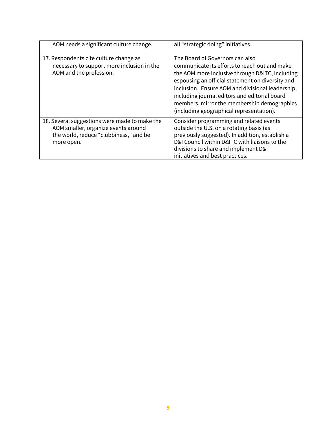| AOM needs a significant culture change.                                                                                                      | all "strategic doing" initiatives.                                                                                                                                                                                                                                                                                                                                                      |
|----------------------------------------------------------------------------------------------------------------------------------------------|-----------------------------------------------------------------------------------------------------------------------------------------------------------------------------------------------------------------------------------------------------------------------------------------------------------------------------------------------------------------------------------------|
| 17. Respondents cite culture change as<br>necessary to support more inclusion in the<br>AOM and the profession.                              | The Board of Governors can also<br>communicate its efforts to reach out and make<br>the AOM more inclusive through D&ITC, including<br>espousing an official statement on diversity and<br>inclusion. Ensure AOM and divisional leadership,<br>including journal editors and editorial board<br>members, mirror the membership demographics<br>(including geographical representation). |
| 18. Several suggestions were made to make the<br>AOM smaller, organize events around<br>the world, reduce "clubbiness," and be<br>more open. | Consider programming and related events<br>outside the U.S. on a rotating basis (as<br>previously suggested). In addition, establish a<br>D&I Council within D&ITC with liaisons to the<br>divisions to share and implement D&I<br>initiatives and best practices.                                                                                                                      |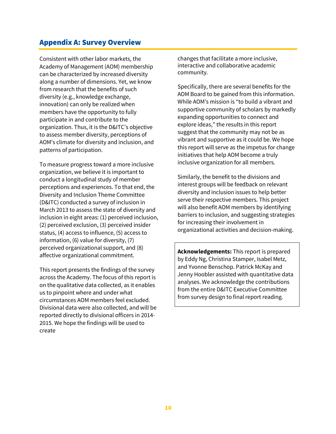## Appendix A: Survey Overview

Consistent with other labor markets, the Academy of Management (AOM) membership can be characterized by increased diversity along a number of dimensions. Yet, we know from research that the benefits of such diversity (e.g., knowledge exchange, innovation) can only be realized when members have the opportunity to fully participate in and contribute to the organization. Thus, it is the D&ITC's objective to assess member diversity, perceptions of AOM's climate for diversity and inclusion, and patterns of participation.

To measure progress toward a more inclusive organization, we believe it is important to conduct a longitudinal study of member perceptions and experiences. To that end, the Diversity and Inclusion Theme Committee (D&ITC) conducted a survey of inclusion in March 2013 to assess the state of diversity and inclusion in eight areas: (1) perceived inclusion, (2) perceived exclusion, (3) perceived insider status, (4) access to influence, (5) access to information, (6) value for diversity, (7) perceived organizational support, and (8) affective organizational commitment.

This report presents the findings of the survey across the Academy. The focus of this report is on the qualitative data collected, as it enables us to pinpoint where and under what circumstances AOM members feel excluded. Divisional data were also collected, and will be reported directly to divisional officers in 2014- 2015. We hope the findings will be used to create

changes that facilitate a more inclusive, interactive and collaborative academic community.

Specifically, there are several benefits for the AOM Board to be gained from this information. While AOM's mission is "to build a vibrant and supportive community of scholars by markedly expanding opportunities to connect and explore ideas," the results in this report suggest that the community may not be as vibrant and supportive as it could be. We hope this report will serve as the impetus for change initiatives that help AOM become a truly inclusive organization for all members.

Similarly, the benefit to the divisions and interest groups will be feedback on relevant diversity and inclusion issues to help better serve their respective members. This project will also benefit AOM members by identifying barriers to inclusion, and suggesting strategies for increasing their involvement in organizational activities and decision-making.

**Acknowledgements:** This report is prepared by Eddy Ng, Christina Stamper, Isabel Metz, and Yvonne Benschop. Patrick McKay and Jenny Hoobler assisted with quantitative data analyses. We acknowledge the contributions from the entire D&ITC Executive Committee from survey design to final report reading.